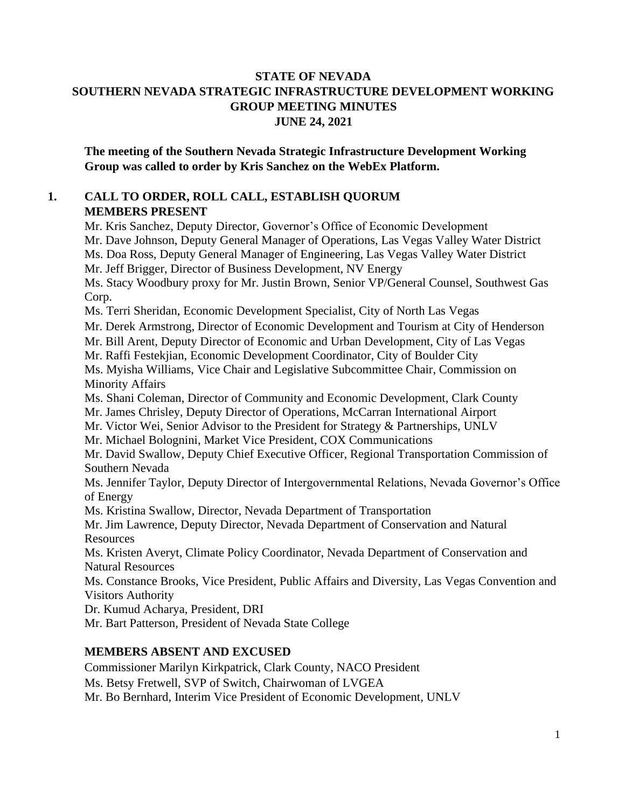## **STATE OF NEVADA SOUTHERN NEVADA STRATEGIC INFRASTRUCTURE DEVELOPMENT WORKING GROUP MEETING MINUTES JUNE 24, 2021**

**The meeting of the Southern Nevada Strategic Infrastructure Development Working Group was called to order by Kris Sanchez on the WebEx Platform.**

## **1. CALL TO ORDER, ROLL CALL, ESTABLISH QUORUM MEMBERS PRESENT**

Mr. Kris Sanchez, Deputy Director, Governor's Office of Economic Development Mr. Dave Johnson, Deputy General Manager of Operations, Las Vegas Valley Water District Ms. Doa Ross, Deputy General Manager of Engineering, Las Vegas Valley Water District Mr. Jeff Brigger, Director of Business Development, NV Energy Ms. Stacy Woodbury proxy for Mr. Justin Brown, Senior VP/General Counsel, Southwest Gas Corp. Ms. Terri Sheridan, Economic Development Specialist, City of North Las Vegas Mr. Derek Armstrong, Director of Economic Development and Tourism at City of Henderson Mr. Bill Arent, Deputy Director of Economic and Urban Development, City of Las Vegas Mr. Raffi Festekjian, Economic Development Coordinator, City of Boulder City Ms. Myisha Williams, Vice Chair and Legislative Subcommittee Chair, Commission on Minority Affairs Ms. Shani Coleman, Director of Community and Economic Development, Clark County Mr. James Chrisley, Deputy Director of Operations, McCarran International Airport Mr. Victor Wei, Senior Advisor to the President for Strategy & Partnerships, UNLV Mr. Michael Bolognini, Market Vice President, COX Communications Mr. David Swallow, Deputy Chief Executive Officer, Regional Transportation Commission of Southern Nevada Ms. Jennifer Taylor, Deputy Director of Intergovernmental Relations, Nevada Governor's Office of Energy Ms. Kristina Swallow, Director, Nevada Department of Transportation Mr. Jim Lawrence, Deputy Director, Nevada Department of Conservation and Natural **Resources** Ms. Kristen Averyt, Climate Policy Coordinator, Nevada Department of Conservation and Natural Resources Ms. Constance Brooks, Vice President, Public Affairs and Diversity, Las Vegas Convention and Visitors Authority Dr. Kumud Acharya, President, DRI Mr. Bart Patterson, President of Nevada State College

## **MEMBERS ABSENT AND EXCUSED**

Commissioner Marilyn Kirkpatrick, Clark County, NACO President Ms. Betsy Fretwell, SVP of Switch, Chairwoman of LVGEA Mr. Bo Bernhard, Interim Vice President of Economic Development, UNLV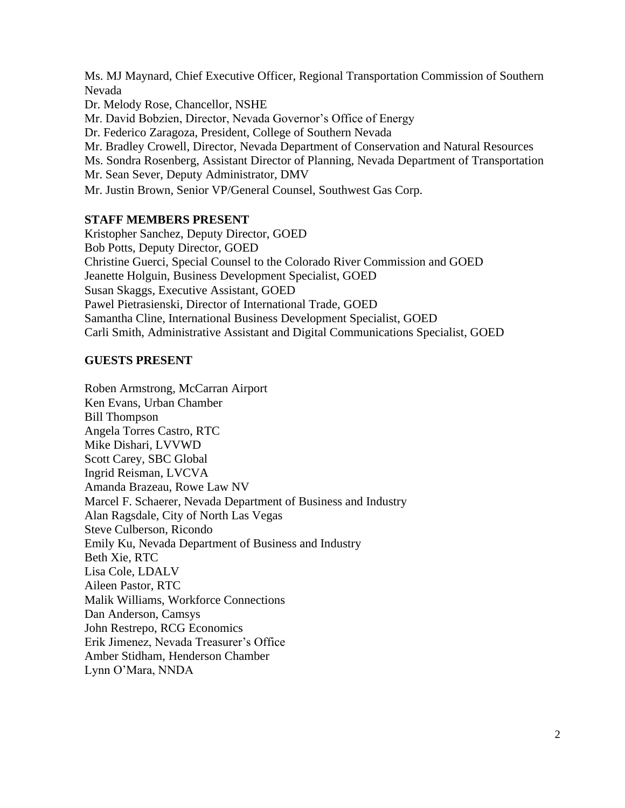Ms. MJ Maynard, Chief Executive Officer, Regional Transportation Commission of Southern Nevada Dr. Melody Rose, Chancellor, NSHE Mr. David Bobzien, Director, Nevada Governor's Office of Energy Dr. Federico Zaragoza, President, College of Southern Nevada Mr. Bradley Crowell, Director, Nevada Department of Conservation and Natural Resources Ms. Sondra Rosenberg, Assistant Director of Planning, Nevada Department of Transportation Mr. Sean Sever, Deputy Administrator, DMV Mr. Justin Brown, Senior VP/General Counsel, Southwest Gas Corp.

### **STAFF MEMBERS PRESENT**

Kristopher Sanchez, Deputy Director, GOED Bob Potts, Deputy Director, GOED Christine Guerci, Special Counsel to the Colorado River Commission and GOED Jeanette Holguin, Business Development Specialist, GOED Susan Skaggs, Executive Assistant, GOED Pawel Pietrasienski, Director of International Trade, GOED Samantha Cline, International Business Development Specialist, GOED Carli Smith, Administrative Assistant and Digital Communications Specialist, GOED

## **GUESTS PRESENT**

Roben Armstrong, McCarran Airport Ken Evans, Urban Chamber Bill Thompson Angela Torres Castro, RTC Mike Dishari, LVVWD Scott Carey, SBC Global Ingrid Reisman, LVCVA Amanda Brazeau, Rowe Law NV Marcel F. Schaerer, Nevada Department of Business and Industry Alan Ragsdale, City of North Las Vegas Steve Culberson, Ricondo Emily Ku, Nevada Department of Business and Industry Beth Xie, RTC Lisa Cole, LDALV Aileen Pastor, RTC Malik Williams, Workforce Connections Dan Anderson, Camsys John Restrepo, RCG Economics Erik Jimenez, Nevada Treasurer's Office Amber Stidham, Henderson Chamber Lynn O'Mara, NNDA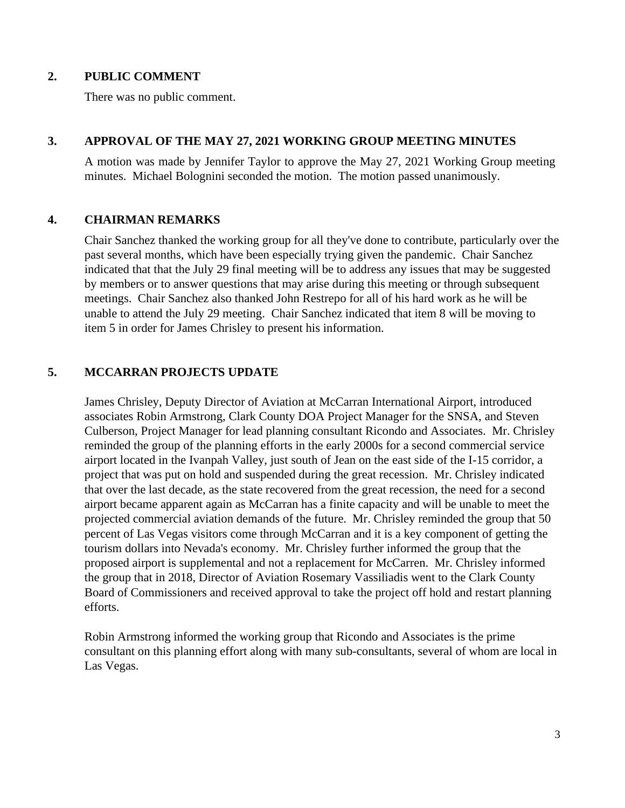### **2. PUBLIC COMMENT**

There was no public comment.

### **3. APPROVAL OF THE MAY 27, 2021 WORKING GROUP MEETING MINUTES**

A motion was made by Jennifer Taylor to approve the May 27, 2021 Working Group meeting minutes. Michael Bolognini seconded the motion. The motion passed unanimously.

### **4. CHAIRMAN REMARKS**

Chair Sanchez thanked the working group for all they've done to contribute, particularly over the past several months, which have been especially trying given the pandemic. Chair Sanchez indicated that that the July 29 final meeting will be to address any issues that may be suggested by members or to answer questions that may arise during this meeting or through subsequent meetings. Chair Sanchez also thanked John Restrepo for all of his hard work as he will be unable to attend the July 29 meeting. Chair Sanchez indicated that item 8 will be moving to item 5 in order for James Chrisley to present his information.

## **5. MCCARRAN PROJECTS UPDATE**

James Chrisley, Deputy Director of Aviation at McCarran International Airport, introduced associates Robin Armstrong, Clark County DOA Project Manager for the SNSA, and Steven Culberson, Project Manager for lead planning consultant Ricondo and Associates. Mr. Chrisley reminded the group of the planning efforts in the early 2000s for a second commercial service airport located in the Ivanpah Valley, just south of Jean on the east side of the I-15 corridor, a project that was put on hold and suspended during the great recession. Mr. Chrisley indicated that over the last decade, as the state recovered from the great recession, the need for a second airport became apparent again as McCarran has a finite capacity and will be unable to meet the projected commercial aviation demands of the future. Mr. Chrisley reminded the group that 50 percent of Las Vegas visitors come through McCarran and it is a key component of getting the tourism dollars into Nevada's economy. Mr. Chrisley further informed the group that the proposed airport is supplemental and not a replacement for McCarren. Mr. Chrisley informed the group that in 2018, Director of Aviation Rosemary Vassiliadis went to the Clark County Board of Commissioners and received approval to take the project off hold and restart planning efforts.

Robin Armstrong informed the working group that Ricondo and Associates is the prime consultant on this planning effort along with many sub-consultants, several of whom are local in Las Vegas.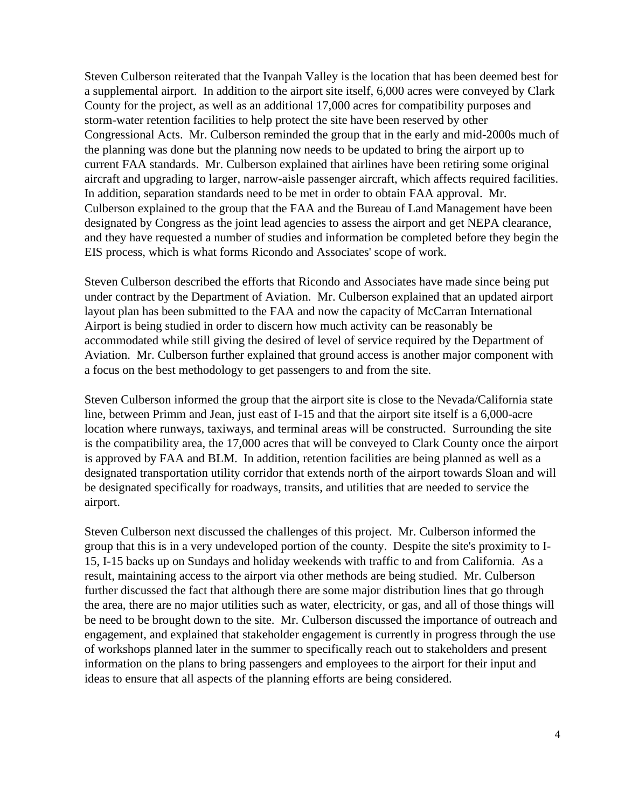Steven Culberson reiterated that the Ivanpah Valley is the location that has been deemed best for a supplemental airport. In addition to the airport site itself, 6,000 acres were conveyed by Clark County for the project, as well as an additional 17,000 acres for compatibility purposes and storm-water retention facilities to help protect the site have been reserved by other Congressional Acts. Mr. Culberson reminded the group that in the early and mid-2000s much of the planning was done but the planning now needs to be updated to bring the airport up to current FAA standards. Mr. Culberson explained that airlines have been retiring some original aircraft and upgrading to larger, narrow-aisle passenger aircraft, which affects required facilities. In addition, separation standards need to be met in order to obtain FAA approval. Mr. Culberson explained to the group that the FAA and the Bureau of Land Management have been designated by Congress as the joint lead agencies to assess the airport and get NEPA clearance, and they have requested a number of studies and information be completed before they begin the EIS process, which is what forms Ricondo and Associates' scope of work.

Steven Culberson described the efforts that Ricondo and Associates have made since being put under contract by the Department of Aviation. Mr. Culberson explained that an updated airport layout plan has been submitted to the FAA and now the capacity of McCarran International Airport is being studied in order to discern how much activity can be reasonably be accommodated while still giving the desired of level of service required by the Department of Aviation. Mr. Culberson further explained that ground access is another major component with a focus on the best methodology to get passengers to and from the site.

Steven Culberson informed the group that the airport site is close to the Nevada/California state line, between Primm and Jean, just east of I-15 and that the airport site itself is a 6,000-acre location where runways, taxiways, and terminal areas will be constructed. Surrounding the site is the compatibility area, the 17,000 acres that will be conveyed to Clark County once the airport is approved by FAA and BLM. In addition, retention facilities are being planned as well as a designated transportation utility corridor that extends north of the airport towards Sloan and will be designated specifically for roadways, transits, and utilities that are needed to service the airport.

Steven Culberson next discussed the challenges of this project. Mr. Culberson informed the group that this is in a very undeveloped portion of the county. Despite the site's proximity to I-15, I-15 backs up on Sundays and holiday weekends with traffic to and from California. As a result, maintaining access to the airport via other methods are being studied. Mr. Culberson further discussed the fact that although there are some major distribution lines that go through the area, there are no major utilities such as water, electricity, or gas, and all of those things will be need to be brought down to the site. Mr. Culberson discussed the importance of outreach and engagement, and explained that stakeholder engagement is currently in progress through the use of workshops planned later in the summer to specifically reach out to stakeholders and present information on the plans to bring passengers and employees to the airport for their input and ideas to ensure that all aspects of the planning efforts are being considered.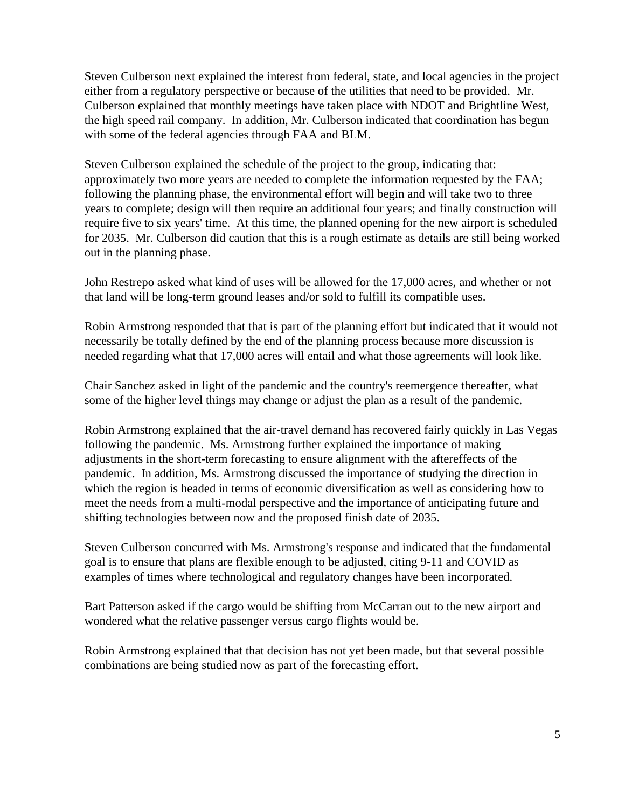Steven Culberson next explained the interest from federal, state, and local agencies in the project either from a regulatory perspective or because of the utilities that need to be provided. Mr. Culberson explained that monthly meetings have taken place with NDOT and Brightline West, the high speed rail company. In addition, Mr. Culberson indicated that coordination has begun with some of the federal agencies through FAA and BLM.

Steven Culberson explained the schedule of the project to the group, indicating that: approximately two more years are needed to complete the information requested by the FAA; following the planning phase, the environmental effort will begin and will take two to three years to complete; design will then require an additional four years; and finally construction will require five to six years' time. At this time, the planned opening for the new airport is scheduled for 2035. Mr. Culberson did caution that this is a rough estimate as details are still being worked out in the planning phase.

John Restrepo asked what kind of uses will be allowed for the 17,000 acres, and whether or not that land will be long-term ground leases and/or sold to fulfill its compatible uses.

Robin Armstrong responded that that is part of the planning effort but indicated that it would not necessarily be totally defined by the end of the planning process because more discussion is needed regarding what that 17,000 acres will entail and what those agreements will look like.

Chair Sanchez asked in light of the pandemic and the country's reemergence thereafter, what some of the higher level things may change or adjust the plan as a result of the pandemic.

Robin Armstrong explained that the air-travel demand has recovered fairly quickly in Las Vegas following the pandemic. Ms. Armstrong further explained the importance of making adjustments in the short-term forecasting to ensure alignment with the aftereffects of the pandemic. In addition, Ms. Armstrong discussed the importance of studying the direction in which the region is headed in terms of economic diversification as well as considering how to meet the needs from a multi-modal perspective and the importance of anticipating future and shifting technologies between now and the proposed finish date of 2035.

Steven Culberson concurred with Ms. Armstrong's response and indicated that the fundamental goal is to ensure that plans are flexible enough to be adjusted, citing 9-11 and COVID as examples of times where technological and regulatory changes have been incorporated.

Bart Patterson asked if the cargo would be shifting from McCarran out to the new airport and wondered what the relative passenger versus cargo flights would be.

Robin Armstrong explained that that decision has not yet been made, but that several possible combinations are being studied now as part of the forecasting effort.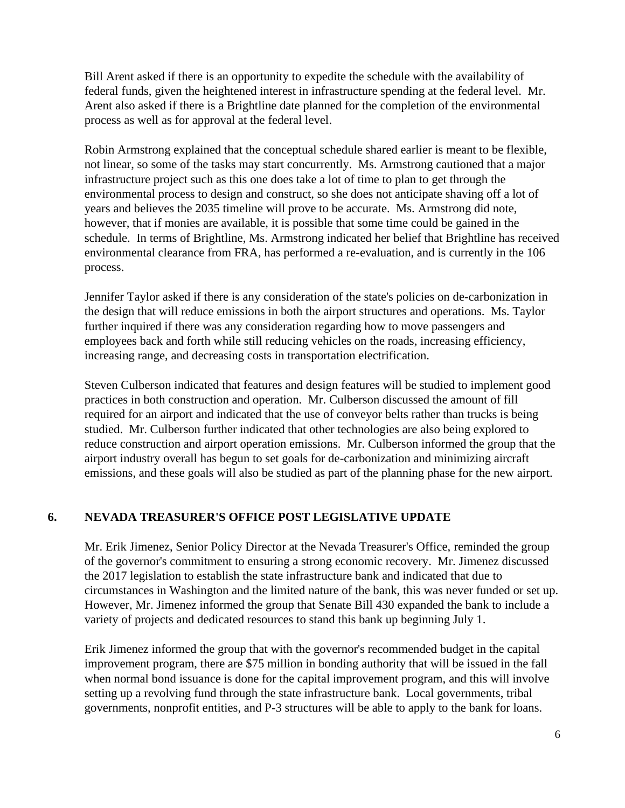Bill Arent asked if there is an opportunity to expedite the schedule with the availability of federal funds, given the heightened interest in infrastructure spending at the federal level. Mr. Arent also asked if there is a Brightline date planned for the completion of the environmental process as well as for approval at the federal level.

Robin Armstrong explained that the conceptual schedule shared earlier is meant to be flexible, not linear, so some of the tasks may start concurrently. Ms. Armstrong cautioned that a major infrastructure project such as this one does take a lot of time to plan to get through the environmental process to design and construct, so she does not anticipate shaving off a lot of years and believes the 2035 timeline will prove to be accurate. Ms. Armstrong did note, however, that if monies are available, it is possible that some time could be gained in the schedule. In terms of Brightline, Ms. Armstrong indicated her belief that Brightline has received environmental clearance from FRA, has performed a re-evaluation, and is currently in the 106 process.

Jennifer Taylor asked if there is any consideration of the state's policies on de-carbonization in the design that will reduce emissions in both the airport structures and operations. Ms. Taylor further inquired if there was any consideration regarding how to move passengers and employees back and forth while still reducing vehicles on the roads, increasing efficiency, increasing range, and decreasing costs in transportation electrification.

Steven Culberson indicated that features and design features will be studied to implement good practices in both construction and operation. Mr. Culberson discussed the amount of fill required for an airport and indicated that the use of conveyor belts rather than trucks is being studied. Mr. Culberson further indicated that other technologies are also being explored to reduce construction and airport operation emissions. Mr. Culberson informed the group that the airport industry overall has begun to set goals for de-carbonization and minimizing aircraft emissions, and these goals will also be studied as part of the planning phase for the new airport.

# **6. NEVADA TREASURER'S OFFICE POST LEGISLATIVE UPDATE**

Mr. Erik Jimenez, Senior Policy Director at the Nevada Treasurer's Office, reminded the group of the governor's commitment to ensuring a strong economic recovery. Mr. Jimenez discussed the 2017 legislation to establish the state infrastructure bank and indicated that due to circumstances in Washington and the limited nature of the bank, this was never funded or set up. However, Mr. Jimenez informed the group that Senate Bill 430 expanded the bank to include a variety of projects and dedicated resources to stand this bank up beginning July 1.

Erik Jimenez informed the group that with the governor's recommended budget in the capital improvement program, there are \$75 million in bonding authority that will be issued in the fall when normal bond issuance is done for the capital improvement program, and this will involve setting up a revolving fund through the state infrastructure bank. Local governments, tribal governments, nonprofit entities, and P-3 structures will be able to apply to the bank for loans.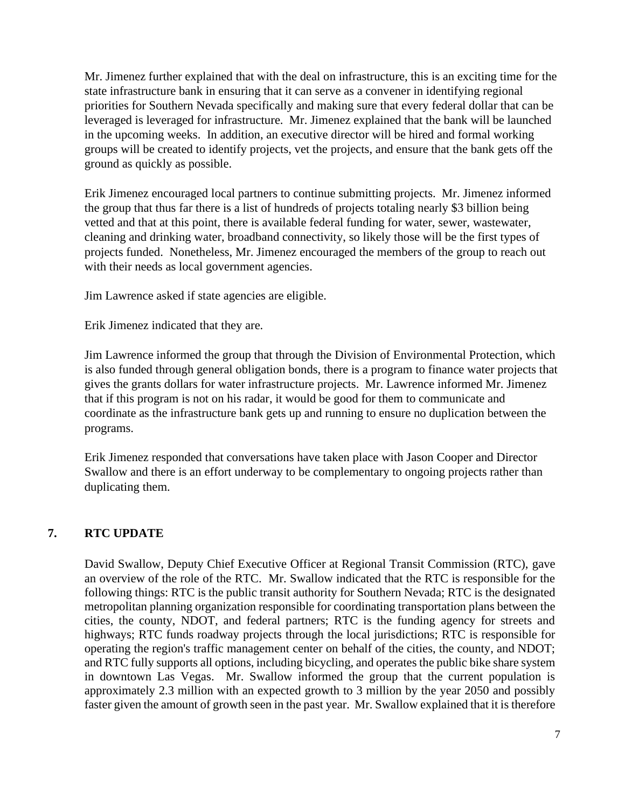Mr. Jimenez further explained that with the deal on infrastructure, this is an exciting time for the state infrastructure bank in ensuring that it can serve as a convener in identifying regional priorities for Southern Nevada specifically and making sure that every federal dollar that can be leveraged is leveraged for infrastructure. Mr. Jimenez explained that the bank will be launched in the upcoming weeks. In addition, an executive director will be hired and formal working groups will be created to identify projects, vet the projects, and ensure that the bank gets off the ground as quickly as possible.

Erik Jimenez encouraged local partners to continue submitting projects. Mr. Jimenez informed the group that thus far there is a list of hundreds of projects totaling nearly \$3 billion being vetted and that at this point, there is available federal funding for water, sewer, wastewater, cleaning and drinking water, broadband connectivity, so likely those will be the first types of projects funded. Nonetheless, Mr. Jimenez encouraged the members of the group to reach out with their needs as local government agencies.

Jim Lawrence asked if state agencies are eligible.

Erik Jimenez indicated that they are.

Jim Lawrence informed the group that through the Division of Environmental Protection, which is also funded through general obligation bonds, there is a program to finance water projects that gives the grants dollars for water infrastructure projects. Mr. Lawrence informed Mr. Jimenez that if this program is not on his radar, it would be good for them to communicate and coordinate as the infrastructure bank gets up and running to ensure no duplication between the programs.

Erik Jimenez responded that conversations have taken place with Jason Cooper and Director Swallow and there is an effort underway to be complementary to ongoing projects rather than duplicating them.

# **7. RTC UPDATE**

David Swallow, Deputy Chief Executive Officer at Regional Transit Commission (RTC), gave an overview of the role of the RTC. Mr. Swallow indicated that the RTC is responsible for the following things: RTC is the public transit authority for Southern Nevada; RTC is the designated metropolitan planning organization responsible for coordinating transportation plans between the cities, the county, NDOT, and federal partners; RTC is the funding agency for streets and highways; RTC funds roadway projects through the local jurisdictions; RTC is responsible for operating the region's traffic management center on behalf of the cities, the county, and NDOT; and RTC fully supports all options, including bicycling, and operates the public bike share system in downtown Las Vegas. Mr. Swallow informed the group that the current population is approximately 2.3 million with an expected growth to 3 million by the year 2050 and possibly faster given the amount of growth seen in the past year. Mr. Swallow explained that it is therefore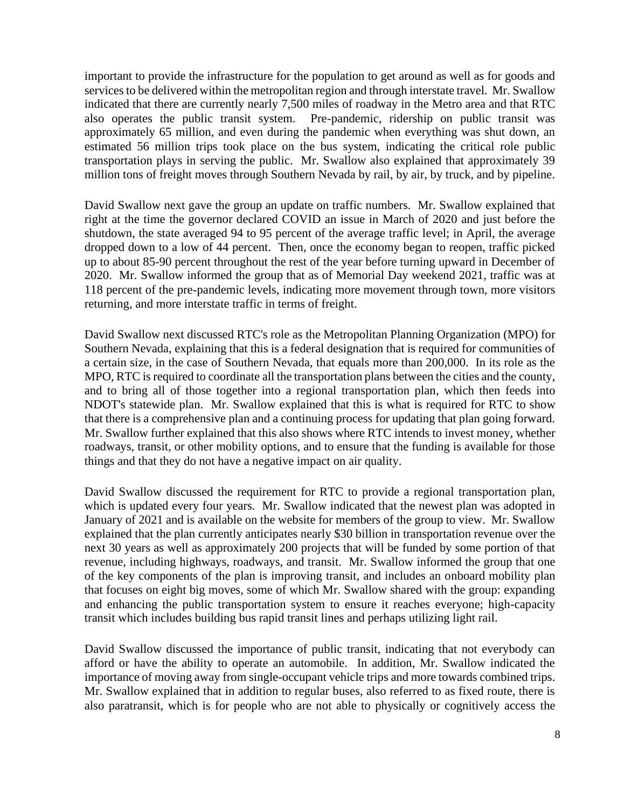important to provide the infrastructure for the population to get around as well as for goods and services to be delivered within the metropolitan region and through interstate travel. Mr. Swallow indicated that there are currently nearly 7,500 miles of roadway in the Metro area and that RTC also operates the public transit system. Pre-pandemic, ridership on public transit was approximately 65 million, and even during the pandemic when everything was shut down, an estimated 56 million trips took place on the bus system, indicating the critical role public transportation plays in serving the public. Mr. Swallow also explained that approximately 39 million tons of freight moves through Southern Nevada by rail, by air, by truck, and by pipeline.

David Swallow next gave the group an update on traffic numbers. Mr. Swallow explained that right at the time the governor declared COVID an issue in March of 2020 and just before the shutdown, the state averaged 94 to 95 percent of the average traffic level; in April, the average dropped down to a low of 44 percent. Then, once the economy began to reopen, traffic picked up to about 85-90 percent throughout the rest of the year before turning upward in December of 2020. Mr. Swallow informed the group that as of Memorial Day weekend 2021, traffic was at 118 percent of the pre-pandemic levels, indicating more movement through town, more visitors returning, and more interstate traffic in terms of freight.

David Swallow next discussed RTC's role as the Metropolitan Planning Organization (MPO) for Southern Nevada, explaining that this is a federal designation that is required for communities of a certain size, in the case of Southern Nevada, that equals more than 200,000. In its role as the MPO, RTC is required to coordinate all the transportation plans between the cities and the county, and to bring all of those together into a regional transportation plan, which then feeds into NDOT's statewide plan. Mr. Swallow explained that this is what is required for RTC to show that there is a comprehensive plan and a continuing process for updating that plan going forward. Mr. Swallow further explained that this also shows where RTC intends to invest money, whether roadways, transit, or other mobility options, and to ensure that the funding is available for those things and that they do not have a negative impact on air quality.

David Swallow discussed the requirement for RTC to provide a regional transportation plan, which is updated every four years. Mr. Swallow indicated that the newest plan was adopted in January of 2021 and is available on the website for members of the group to view. Mr. Swallow explained that the plan currently anticipates nearly \$30 billion in transportation revenue over the next 30 years as well as approximately 200 projects that will be funded by some portion of that revenue, including highways, roadways, and transit. Mr. Swallow informed the group that one of the key components of the plan is improving transit, and includes an onboard mobility plan that focuses on eight big moves, some of which Mr. Swallow shared with the group: expanding and enhancing the public transportation system to ensure it reaches everyone; high-capacity transit which includes building bus rapid transit lines and perhaps utilizing light rail.

David Swallow discussed the importance of public transit, indicating that not everybody can afford or have the ability to operate an automobile. In addition, Mr. Swallow indicated the importance of moving away from single-occupant vehicle trips and more towards combined trips. Mr. Swallow explained that in addition to regular buses, also referred to as fixed route, there is also paratransit, which is for people who are not able to physically or cognitively access the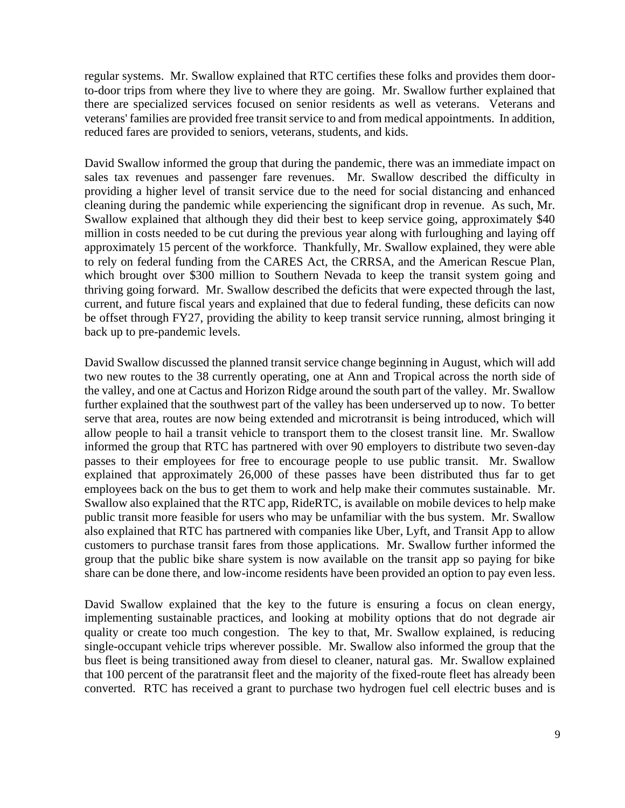regular systems. Mr. Swallow explained that RTC certifies these folks and provides them doorto-door trips from where they live to where they are going. Mr. Swallow further explained that there are specialized services focused on senior residents as well as veterans. Veterans and veterans' families are provided free transit service to and from medical appointments. In addition, reduced fares are provided to seniors, veterans, students, and kids.

David Swallow informed the group that during the pandemic, there was an immediate impact on sales tax revenues and passenger fare revenues. Mr. Swallow described the difficulty in providing a higher level of transit service due to the need for social distancing and enhanced cleaning during the pandemic while experiencing the significant drop in revenue. As such, Mr. Swallow explained that although they did their best to keep service going, approximately \$40 million in costs needed to be cut during the previous year along with furloughing and laying off approximately 15 percent of the workforce. Thankfully, Mr. Swallow explained, they were able to rely on federal funding from the CARES Act, the CRRSA, and the American Rescue Plan, which brought over \$300 million to Southern Nevada to keep the transit system going and thriving going forward. Mr. Swallow described the deficits that were expected through the last, current, and future fiscal years and explained that due to federal funding, these deficits can now be offset through FY27, providing the ability to keep transit service running, almost bringing it back up to pre-pandemic levels.

David Swallow discussed the planned transit service change beginning in August, which will add two new routes to the 38 currently operating, one at Ann and Tropical across the north side of the valley, and one at Cactus and Horizon Ridge around the south part of the valley. Mr. Swallow further explained that the southwest part of the valley has been underserved up to now. To better serve that area, routes are now being extended and microtransit is being introduced, which will allow people to hail a transit vehicle to transport them to the closest transit line. Mr. Swallow informed the group that RTC has partnered with over 90 employers to distribute two seven-day passes to their employees for free to encourage people to use public transit. Mr. Swallow explained that approximately 26,000 of these passes have been distributed thus far to get employees back on the bus to get them to work and help make their commutes sustainable. Mr. Swallow also explained that the RTC app, RideRTC, is available on mobile devices to help make public transit more feasible for users who may be unfamiliar with the bus system. Mr. Swallow also explained that RTC has partnered with companies like Uber, Lyft, and Transit App to allow customers to purchase transit fares from those applications. Mr. Swallow further informed the group that the public bike share system is now available on the transit app so paying for bike share can be done there, and low-income residents have been provided an option to pay even less.

David Swallow explained that the key to the future is ensuring a focus on clean energy, implementing sustainable practices, and looking at mobility options that do not degrade air quality or create too much congestion. The key to that, Mr. Swallow explained, is reducing single-occupant vehicle trips wherever possible. Mr. Swallow also informed the group that the bus fleet is being transitioned away from diesel to cleaner, natural gas. Mr. Swallow explained that 100 percent of the paratransit fleet and the majority of the fixed-route fleet has already been converted. RTC has received a grant to purchase two hydrogen fuel cell electric buses and is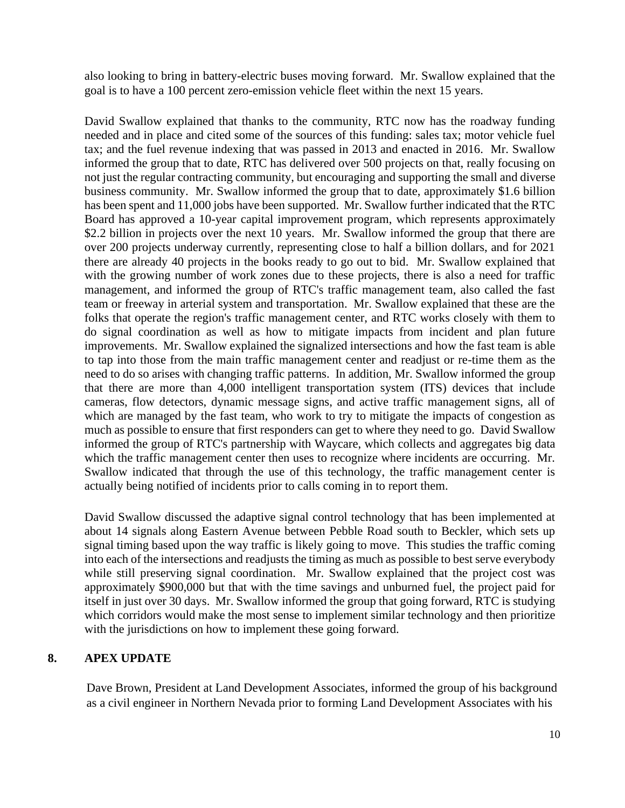also looking to bring in battery-electric buses moving forward. Mr. Swallow explained that the goal is to have a 100 percent zero-emission vehicle fleet within the next 15 years.

David Swallow explained that thanks to the community, RTC now has the roadway funding needed and in place and cited some of the sources of this funding: sales tax; motor vehicle fuel tax; and the fuel revenue indexing that was passed in 2013 and enacted in 2016. Mr. Swallow informed the group that to date, RTC has delivered over 500 projects on that, really focusing on not just the regular contracting community, but encouraging and supporting the small and diverse business community. Mr. Swallow informed the group that to date, approximately \$1.6 billion has been spent and 11,000 jobs have been supported. Mr. Swallow further indicated that the RTC Board has approved a 10-year capital improvement program, which represents approximately \$2.2 billion in projects over the next 10 years. Mr. Swallow informed the group that there are over 200 projects underway currently, representing close to half a billion dollars, and for 2021 there are already 40 projects in the books ready to go out to bid. Mr. Swallow explained that with the growing number of work zones due to these projects, there is also a need for traffic management, and informed the group of RTC's traffic management team, also called the fast team or freeway in arterial system and transportation. Mr. Swallow explained that these are the folks that operate the region's traffic management center, and RTC works closely with them to do signal coordination as well as how to mitigate impacts from incident and plan future improvements. Mr. Swallow explained the signalized intersections and how the fast team is able to tap into those from the main traffic management center and readjust or re-time them as the need to do so arises with changing traffic patterns. In addition, Mr. Swallow informed the group that there are more than 4,000 intelligent transportation system (ITS) devices that include cameras, flow detectors, dynamic message signs, and active traffic management signs, all of which are managed by the fast team, who work to try to mitigate the impacts of congestion as much as possible to ensure that first responders can get to where they need to go. David Swallow informed the group of RTC's partnership with Waycare, which collects and aggregates big data which the traffic management center then uses to recognize where incidents are occurring. Mr. Swallow indicated that through the use of this technology, the traffic management center is actually being notified of incidents prior to calls coming in to report them.

David Swallow discussed the adaptive signal control technology that has been implemented at about 14 signals along Eastern Avenue between Pebble Road south to Beckler, which sets up signal timing based upon the way traffic is likely going to move. This studies the traffic coming into each of the intersections and readjusts the timing as much as possible to best serve everybody while still preserving signal coordination. Mr. Swallow explained that the project cost was approximately \$900,000 but that with the time savings and unburned fuel, the project paid for itself in just over 30 days. Mr. Swallow informed the group that going forward, RTC is studying which corridors would make the most sense to implement similar technology and then prioritize with the jurisdictions on how to implement these going forward.

## **8. APEX UPDATE**

Dave Brown, President at Land Development Associates, informed the group of his background as a civil engineer in Northern Nevada prior to forming Land Development Associates with his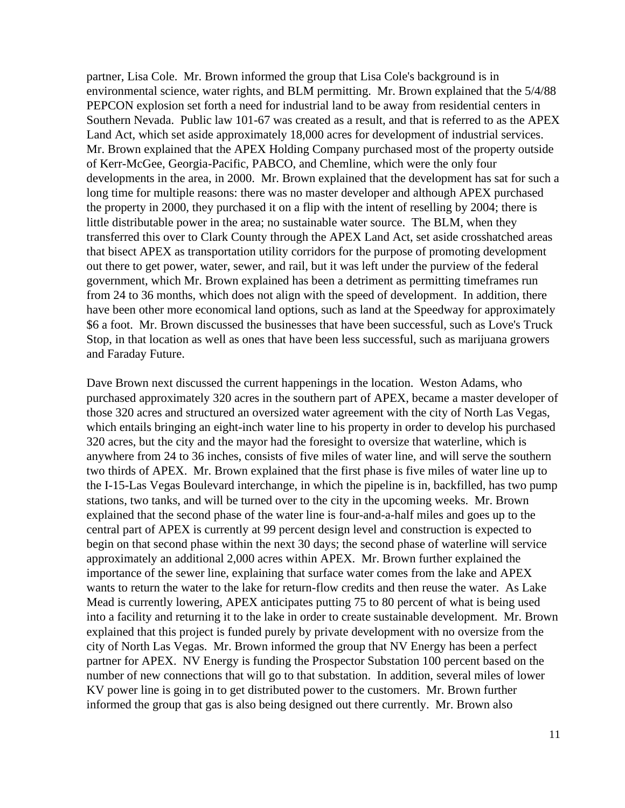partner, Lisa Cole. Mr. Brown informed the group that Lisa Cole's background is in environmental science, water rights, and BLM permitting. Mr. Brown explained that the 5/4/88 PEPCON explosion set forth a need for industrial land to be away from residential centers in Southern Nevada. Public law 101-67 was created as a result, and that is referred to as the APEX Land Act, which set aside approximately 18,000 acres for development of industrial services. Mr. Brown explained that the APEX Holding Company purchased most of the property outside of Kerr-McGee, Georgia-Pacific, PABCO, and Chemline, which were the only four developments in the area, in 2000. Mr. Brown explained that the development has sat for such a long time for multiple reasons: there was no master developer and although APEX purchased the property in 2000, they purchased it on a flip with the intent of reselling by 2004; there is little distributable power in the area; no sustainable water source. The BLM, when they transferred this over to Clark County through the APEX Land Act, set aside crosshatched areas that bisect APEX as transportation utility corridors for the purpose of promoting development out there to get power, water, sewer, and rail, but it was left under the purview of the federal government, which Mr. Brown explained has been a detriment as permitting timeframes run from 24 to 36 months, which does not align with the speed of development. In addition, there have been other more economical land options, such as land at the Speedway for approximately \$6 a foot. Mr. Brown discussed the businesses that have been successful, such as Love's Truck Stop, in that location as well as ones that have been less successful, such as marijuana growers and Faraday Future.

Dave Brown next discussed the current happenings in the location. Weston Adams, who purchased approximately 320 acres in the southern part of APEX, became a master developer of those 320 acres and structured an oversized water agreement with the city of North Las Vegas, which entails bringing an eight-inch water line to his property in order to develop his purchased 320 acres, but the city and the mayor had the foresight to oversize that waterline, which is anywhere from 24 to 36 inches, consists of five miles of water line, and will serve the southern two thirds of APEX. Mr. Brown explained that the first phase is five miles of water line up to the I-15-Las Vegas Boulevard interchange, in which the pipeline is in, backfilled, has two pump stations, two tanks, and will be turned over to the city in the upcoming weeks. Mr. Brown explained that the second phase of the water line is four-and-a-half miles and goes up to the central part of APEX is currently at 99 percent design level and construction is expected to begin on that second phase within the next 30 days; the second phase of waterline will service approximately an additional 2,000 acres within APEX. Mr. Brown further explained the importance of the sewer line, explaining that surface water comes from the lake and APEX wants to return the water to the lake for return-flow credits and then reuse the water. As Lake Mead is currently lowering, APEX anticipates putting 75 to 80 percent of what is being used into a facility and returning it to the lake in order to create sustainable development. Mr. Brown explained that this project is funded purely by private development with no oversize from the city of North Las Vegas. Mr. Brown informed the group that NV Energy has been a perfect partner for APEX. NV Energy is funding the Prospector Substation 100 percent based on the number of new connections that will go to that substation. In addition, several miles of lower KV power line is going in to get distributed power to the customers. Mr. Brown further informed the group that gas is also being designed out there currently. Mr. Brown also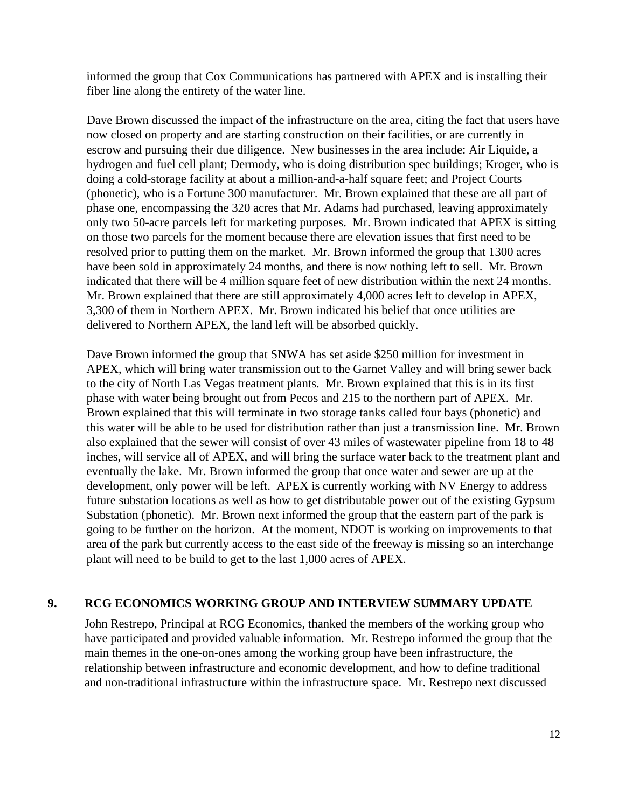informed the group that Cox Communications has partnered with APEX and is installing their fiber line along the entirety of the water line.

Dave Brown discussed the impact of the infrastructure on the area, citing the fact that users have now closed on property and are starting construction on their facilities, or are currently in escrow and pursuing their due diligence. New businesses in the area include: Air Liquide, a hydrogen and fuel cell plant; Dermody, who is doing distribution spec buildings; Kroger, who is doing a cold-storage facility at about a million-and-a-half square feet; and Project Courts (phonetic), who is a Fortune 300 manufacturer. Mr. Brown explained that these are all part of phase one, encompassing the 320 acres that Mr. Adams had purchased, leaving approximately only two 50-acre parcels left for marketing purposes. Mr. Brown indicated that APEX is sitting on those two parcels for the moment because there are elevation issues that first need to be resolved prior to putting them on the market. Mr. Brown informed the group that 1300 acres have been sold in approximately 24 months, and there is now nothing left to sell. Mr. Brown indicated that there will be 4 million square feet of new distribution within the next 24 months. Mr. Brown explained that there are still approximately 4,000 acres left to develop in APEX, 3,300 of them in Northern APEX. Mr. Brown indicated his belief that once utilities are delivered to Northern APEX, the land left will be absorbed quickly.

Dave Brown informed the group that SNWA has set aside \$250 million for investment in APEX, which will bring water transmission out to the Garnet Valley and will bring sewer back to the city of North Las Vegas treatment plants. Mr. Brown explained that this is in its first phase with water being brought out from Pecos and 215 to the northern part of APEX. Mr. Brown explained that this will terminate in two storage tanks called four bays (phonetic) and this water will be able to be used for distribution rather than just a transmission line. Mr. Brown also explained that the sewer will consist of over 43 miles of wastewater pipeline from 18 to 48 inches, will service all of APEX, and will bring the surface water back to the treatment plant and eventually the lake. Mr. Brown informed the group that once water and sewer are up at the development, only power will be left. APEX is currently working with NV Energy to address future substation locations as well as how to get distributable power out of the existing Gypsum Substation (phonetic). Mr. Brown next informed the group that the eastern part of the park is going to be further on the horizon. At the moment, NDOT is working on improvements to that area of the park but currently access to the east side of the freeway is missing so an interchange plant will need to be build to get to the last 1,000 acres of APEX.

## **9. RCG ECONOMICS WORKING GROUP AND INTERVIEW SUMMARY UPDATE**

John Restrepo, Principal at RCG Economics, thanked the members of the working group who have participated and provided valuable information. Mr. Restrepo informed the group that the main themes in the one-on-ones among the working group have been infrastructure, the relationship between infrastructure and economic development, and how to define traditional and non-traditional infrastructure within the infrastructure space. Mr. Restrepo next discussed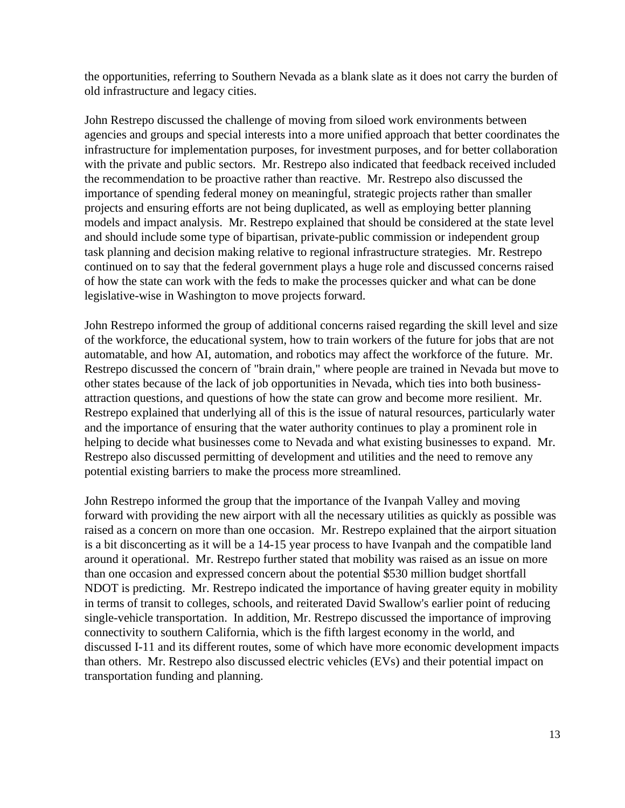the opportunities, referring to Southern Nevada as a blank slate as it does not carry the burden of old infrastructure and legacy cities.

John Restrepo discussed the challenge of moving from siloed work environments between agencies and groups and special interests into a more unified approach that better coordinates the infrastructure for implementation purposes, for investment purposes, and for better collaboration with the private and public sectors. Mr. Restrepo also indicated that feedback received included the recommendation to be proactive rather than reactive. Mr. Restrepo also discussed the importance of spending federal money on meaningful, strategic projects rather than smaller projects and ensuring efforts are not being duplicated, as well as employing better planning models and impact analysis. Mr. Restrepo explained that should be considered at the state level and should include some type of bipartisan, private-public commission or independent group task planning and decision making relative to regional infrastructure strategies. Mr. Restrepo continued on to say that the federal government plays a huge role and discussed concerns raised of how the state can work with the feds to make the processes quicker and what can be done legislative-wise in Washington to move projects forward.

John Restrepo informed the group of additional concerns raised regarding the skill level and size of the workforce, the educational system, how to train workers of the future for jobs that are not automatable, and how AI, automation, and robotics may affect the workforce of the future. Mr. Restrepo discussed the concern of "brain drain," where people are trained in Nevada but move to other states because of the lack of job opportunities in Nevada, which ties into both businessattraction questions, and questions of how the state can grow and become more resilient. Mr. Restrepo explained that underlying all of this is the issue of natural resources, particularly water and the importance of ensuring that the water authority continues to play a prominent role in helping to decide what businesses come to Nevada and what existing businesses to expand. Mr. Restrepo also discussed permitting of development and utilities and the need to remove any potential existing barriers to make the process more streamlined.

John Restrepo informed the group that the importance of the Ivanpah Valley and moving forward with providing the new airport with all the necessary utilities as quickly as possible was raised as a concern on more than one occasion. Mr. Restrepo explained that the airport situation is a bit disconcerting as it will be a 14-15 year process to have Ivanpah and the compatible land around it operational. Mr. Restrepo further stated that mobility was raised as an issue on more than one occasion and expressed concern about the potential \$530 million budget shortfall NDOT is predicting. Mr. Restrepo indicated the importance of having greater equity in mobility in terms of transit to colleges, schools, and reiterated David Swallow's earlier point of reducing single-vehicle transportation. In addition, Mr. Restrepo discussed the importance of improving connectivity to southern California, which is the fifth largest economy in the world, and discussed I-11 and its different routes, some of which have more economic development impacts than others. Mr. Restrepo also discussed electric vehicles (EVs) and their potential impact on transportation funding and planning.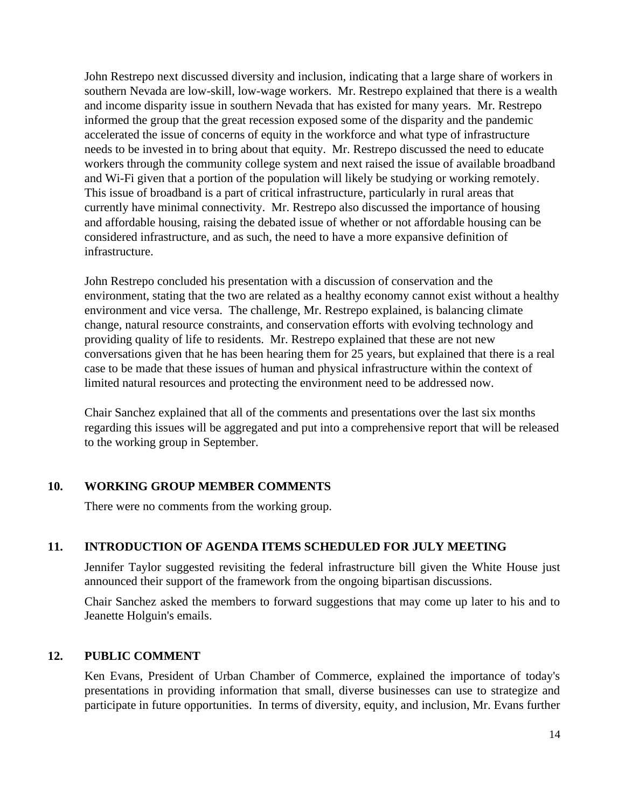John Restrepo next discussed diversity and inclusion, indicating that a large share of workers in southern Nevada are low-skill, low-wage workers. Mr. Restrepo explained that there is a wealth and income disparity issue in southern Nevada that has existed for many years. Mr. Restrepo informed the group that the great recession exposed some of the disparity and the pandemic accelerated the issue of concerns of equity in the workforce and what type of infrastructure needs to be invested in to bring about that equity. Mr. Restrepo discussed the need to educate workers through the community college system and next raised the issue of available broadband and Wi-Fi given that a portion of the population will likely be studying or working remotely. This issue of broadband is a part of critical infrastructure, particularly in rural areas that currently have minimal connectivity. Mr. Restrepo also discussed the importance of housing and affordable housing, raising the debated issue of whether or not affordable housing can be considered infrastructure, and as such, the need to have a more expansive definition of infrastructure.

John Restrepo concluded his presentation with a discussion of conservation and the environment, stating that the two are related as a healthy economy cannot exist without a healthy environment and vice versa. The challenge, Mr. Restrepo explained, is balancing climate change, natural resource constraints, and conservation efforts with evolving technology and providing quality of life to residents. Mr. Restrepo explained that these are not new conversations given that he has been hearing them for 25 years, but explained that there is a real case to be made that these issues of human and physical infrastructure within the context of limited natural resources and protecting the environment need to be addressed now.

Chair Sanchez explained that all of the comments and presentations over the last six months regarding this issues will be aggregated and put into a comprehensive report that will be released to the working group in September.

## **10. WORKING GROUP MEMBER COMMENTS**

There were no comments from the working group.

## **11. INTRODUCTION OF AGENDA ITEMS SCHEDULED FOR JULY MEETING**

Jennifer Taylor suggested revisiting the federal infrastructure bill given the White House just announced their support of the framework from the ongoing bipartisan discussions.

Chair Sanchez asked the members to forward suggestions that may come up later to his and to Jeanette Holguin's emails.

## **12. PUBLIC COMMENT**

Ken Evans, President of Urban Chamber of Commerce, explained the importance of today's presentations in providing information that small, diverse businesses can use to strategize and participate in future opportunities. In terms of diversity, equity, and inclusion, Mr. Evans further